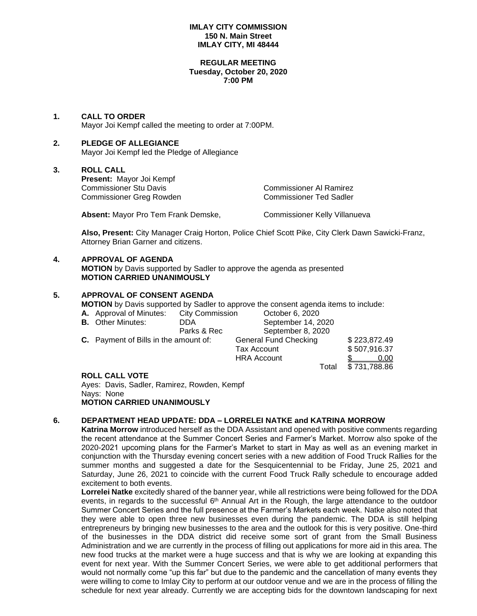# **IMLAY CITY COMMISSION 150 N. Main Street IMLAY CITY, MI 48444**

#### **REGULAR MEETING Tuesday, October 20, 2020 7:00 PM**

# **1. CALL TO ORDER**

Mayor Joi Kempf called the meeting to order at 7:00PM.

# **2. PLEDGE OF ALLEGIANCE**

Mayor Joi Kempf led the Pledge of Allegiance

# **3. ROLL CALL**

**Present:** Mayor Joi Kempf Commissioner Stu Davis Commissioner Al Ramirez Commissioner Greg Rowden

Absent: Mayor Pro Tem Frank Demske, Commissioner Kelly Villanueva

**Also, Present:** City Manager Craig Horton, Police Chief Scott Pike, City Clerk Dawn Sawicki-Franz, Attorney Brian Garner and citizens.

# **4. APPROVAL OF AGENDA**

**MOTION** by Davis supported by Sadler to approve the agenda as presented **MOTION CARRIED UNANIMOUSLY**

# **5. APPROVAL OF CONSENT AGENDA**

**MOTION** by Davis supported by Sadler to approve the consent agenda items to include:

| <b>A.</b> Approval of Minutes:               | <b>City Commission</b> | October 6, 2020              |              |
|----------------------------------------------|------------------------|------------------------------|--------------|
| <b>B.</b> Other Minutes:                     | DDA                    | September 14, 2020           |              |
|                                              | Parks & Rec            | September 8, 2020            |              |
| <b>C.</b> Payment of Bills in the amount of: |                        | <b>General Fund Checking</b> | \$223,872.49 |
|                                              |                        | Tax Account                  | \$507,916.37 |
|                                              |                        | <b>HRA Account</b>           | 0.00         |
|                                              |                        | Total                        | \$731,788.86 |

# **ROLL CALL VOTE**

Ayes: Davis, Sadler, Ramirez, Rowden, Kempf Nays: None **MOTION CARRIED UNANIMOUSLY**

# **6. DEPARTMENT HEAD UPDATE: DDA – LORRELEI NATKE and KATRINA MORROW**

**Katrina Morrow** introduced herself as the DDA Assistant and opened with positive comments regarding the recent attendance at the Summer Concert Series and Farmer's Market. Morrow also spoke of the 2020-2021 upcoming plans for the Farmer's Market to start in May as well as an evening market in conjunction with the Thursday evening concert series with a new addition of Food Truck Rallies for the summer months and suggested a date for the Sesquicentennial to be Friday, June 25, 2021 and Saturday, June 26, 2021 to coincide with the current Food Truck Rally schedule to encourage added excitement to both events.

**Lorrelei Natke** excitedly shared of the banner year, while all restrictions were being followed for the DDA events, in regards to the successful 6<sup>th</sup> Annual Art in the Rough, the large attendance to the outdoor Summer Concert Series and the full presence at the Farmer's Markets each week. Natke also noted that they were able to open three new businesses even during the pandemic. The DDA is still helping entrepreneurs by bringing new businesses to the area and the outlook for this is very positive. One-third of the businesses in the DDA district did receive some sort of grant from the Small Business Administration and we are currently in the process of filling out applications for more aid in this area. The new food trucks at the market were a huge success and that is why we are looking at expanding this event for next year. With the Summer Concert Series, we were able to get additional performers that would not normally come "up this far" but due to the pandemic and the cancellation of many events they were willing to come to Imlay City to perform at our outdoor venue and we are in the process of filling the schedule for next year already. Currently we are accepting bids for the downtown landscaping for next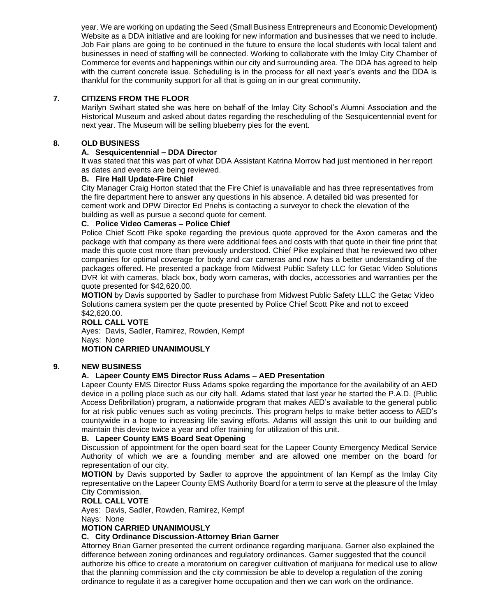year. We are working on updating the Seed (Small Business Entrepreneurs and Economic Development) Website as a DDA initiative and are looking for new information and businesses that we need to include. Job Fair plans are going to be continued in the future to ensure the local students with local talent and businesses in need of staffing will be connected. Working to collaborate with the Imlay City Chamber of Commerce for events and happenings within our city and surrounding area. The DDA has agreed to help with the current concrete issue. Scheduling is in the process for all next year's events and the DDA is thankful for the community support for all that is going on in our great community.

# **7. CITIZENS FROM THE FLOOR**

Marilyn Swihart stated she was here on behalf of the Imlay City School's Alumni Association and the Historical Museum and asked about dates regarding the rescheduling of the Sesquicentennial event for next year. The Museum will be selling blueberry pies for the event.

# **8. OLD BUSINESS**

# **A. Sesquicentennial – DDA Director**

It was stated that this was part of what DDA Assistant Katrina Morrow had just mentioned in her report as dates and events are being reviewed.

# **B. Fire Hall Update-Fire Chief**

City Manager Craig Horton stated that the Fire Chief is unavailable and has three representatives from the fire department here to answer any questions in his absence. A detailed bid was presented for cement work and DPW Director Ed Priehs is contacting a surveyor to check the elevation of the building as well as pursue a second quote for cement.

# **C. Police Video Cameras – Police Chief**

Police Chief Scott Pike spoke regarding the previous quote approved for the Axon cameras and the package with that company as there were additional fees and costs with that quote in their fine print that made this quote cost more than previously understood. Chief Pike explained that he reviewed two other companies for optimal coverage for body and car cameras and now has a better understanding of the packages offered. He presented a package from Midwest Public Safety LLC for Getac Video Solutions DVR kit with cameras, black box, body worn cameras, with docks, accessories and warranties per the quote presented for \$42,620.00.

**MOTION** by Davis supported by Sadler to purchase from Midwest Public Safety LLLC the Getac Video Solutions camera system per the quote presented by Police Chief Scott Pike and not to exceed \$42,620.00.

#### **ROLL CALL VOTE**

Ayes: Davis, Sadler, Ramirez, Rowden, Kempf Nays: None **MOTION CARRIED UNANIMOUSLY**

# **9. NEW BUSINESS**

# **A. Lapeer County EMS Director Russ Adams – AED Presentation**

Lapeer County EMS Director Russ Adams spoke regarding the importance for the availability of an AED device in a polling place such as our city hall. Adams stated that last year he started the P.A.D. (Public Access Defibrillation) program, a nationwide program that makes AED's available to the general public for at risk public venues such as voting precincts. This program helps to make better access to AED's countywide in a hope to increasing life saving efforts. Adams will assign this unit to our building and maintain this device twice a year and offer training for utilization of this unit.

# **B. Lapeer County EMS Board Seat Opening**

Discussion of appointment for the open board seat for the Lapeer County Emergency Medical Service Authority of which we are a founding member and are allowed one member on the board for representation of our city.

**MOTION** by Davis supported by Sadler to approve the appointment of Ian Kempf as the Imlay City representative on the Lapeer County EMS Authority Board for a term to serve at the pleasure of the Imlay City Commission.

#### **ROLL CALL VOTE**

Ayes: Davis, Sadler, Rowden, Ramirez, Kempf

Nays: None

# **MOTION CARRIED UNANIMOUSLY**

# **C. City Ordinance Discussion-Attorney Brian Garner**

Attorney Brian Garner presented the current ordinance regarding marijuana. Garner also explained the difference between zoning ordinances and regulatory ordinances. Garner suggested that the council authorize his office to create a moratorium on caregiver cultivation of marijuana for medical use to allow that the planning commission and the city commission be able to develop a regulation of the zoning ordinance to regulate it as a caregiver home occupation and then we can work on the ordinance.